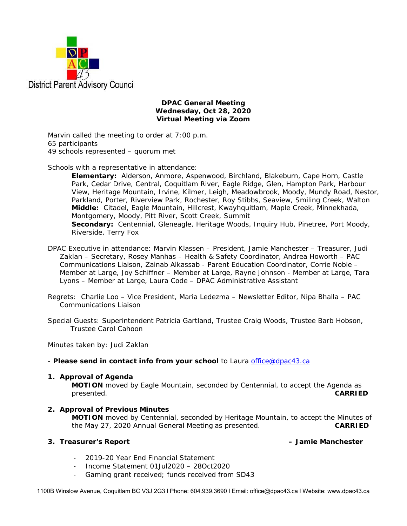

### **DPAC General Meeting Wednesday, Oct 28, 2020 Virtual Meeting via Zoom**

Marvin called the meeting to order at 7:00 p.m. 65 participants 49 schools represented – quorum met

Schools with a representative in attendance:

**Elementary:** Alderson, Anmore, Aspenwood, Birchland, Blakeburn, Cape Horn, Castle Park, Cedar Drive, Central, Coquitlam River, Eagle Ridge, Glen, Hampton Park, Harbour View, Heritage Mountain, Irvine, Kilmer, Leigh, Meadowbrook, Moody, Mundy Road, Nestor, Parkland, Porter, Riverview Park, Rochester, Roy Stibbs, Seaview, Smiling Creek, Walton **Middle:** Citadel, Eagle Mountain, Hillcrest, Kwayhquitlam, Maple Creek, Minnekhada, Montgomery, Moody, Pitt River, Scott Creek, Summit **Secondary:** Centennial, Gleneagle, Heritage Woods, Inquiry Hub, Pinetree, Port Moody, Riverside, Terry Fox

DPAC Executive in attendance: Marvin Klassen – President, Jamie Manchester – Treasurer, Judi Zaklan – Secretary, Rosey Manhas – Health & Safety Coordinator, Andrea Howorth – PAC Communications Liaison, Zainab Alkassab - Parent Education Coordinator, Corrie Noble – Member at Large, Joy Schiffner – Member at Large, Rayne Johnson - Member at Large, Tara Lyons – Member at Large, Laura Code – DPAC Administrative Assistant

- Regrets: Charlie Loo Vice President, Maria Ledezma Newsletter Editor, Nipa Bhalla PAC Communications Liaison
- Special Guests: Superintendent Patricia Gartland, Trustee Craig Woods, Trustee Barb Hobson, Trustee Carol Cahoon

Minutes taken by: Judi Zaklan

- *Please send in contact info from your school* to Laura office@dpac43.ca

### **1. Approval of Agenda**

**MOTION** moved by *Eagle Mountain*, seconded by *Centennial*, to accept the Agenda as presented. **CARRIED** 

### **2. Approval of Previous Minutes**

**MOTION** moved by *Centennial*, seconded by *Heritage Mountain*, to accept the Minutes of the May 27, 2020 Annual General Meeting as presented. **CARRIED** 

### **3. Treasurer's Report – Jamie Manchester**

- 2019-20 Year End Financial Statement
- Income Statement 01Jul2020 28Oct2020
- Gaming grant received; funds received from SD43

1100B Winslow Avenue, Coquitlam BC V3J 2G3 l Phone: 604.939.3690 l Email: office@dpac43.ca l Website: www.dpac43.ca